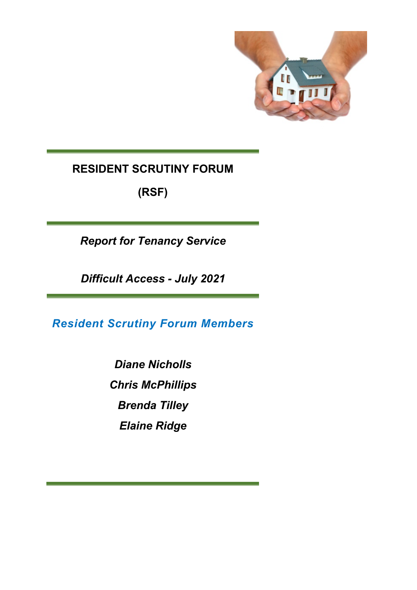

# **RESIDENT SCRUTINY FORUM**

**(RSF)**

*Report for Tenancy Service* 

*Difficult Access - July 2021* 

*Resident Scrutiny Forum Members*

*Diane Nicholls Chris McPhillips Brenda Tilley Elaine Ridge*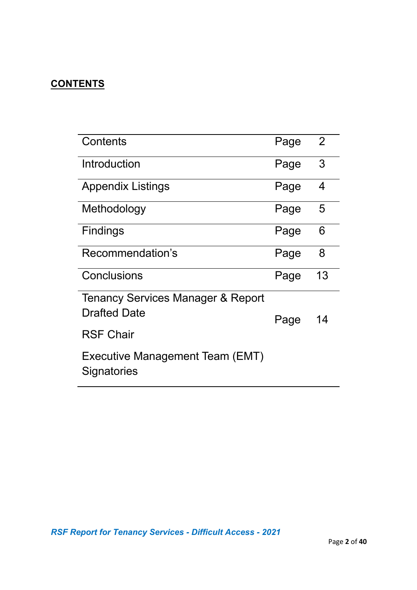# **CONTENTS**

| Contents                                              | Page | 2  |
|-------------------------------------------------------|------|----|
| Introduction                                          | Page | 3  |
| <b>Appendix Listings</b>                              | Page | 4  |
| Methodology                                           | Page | 5  |
| <b>Findings</b>                                       | Page | 6  |
| Recommendation's                                      | Page | 8  |
| Conclusions                                           | Page | 13 |
| <b>Tenancy Services Manager &amp; Report</b>          |      |    |
| <b>Drafted Date</b>                                   | Page | 14 |
| <b>RSF Chair</b>                                      |      |    |
| <b>Executive Management Team (EMT)</b><br>Signatories |      |    |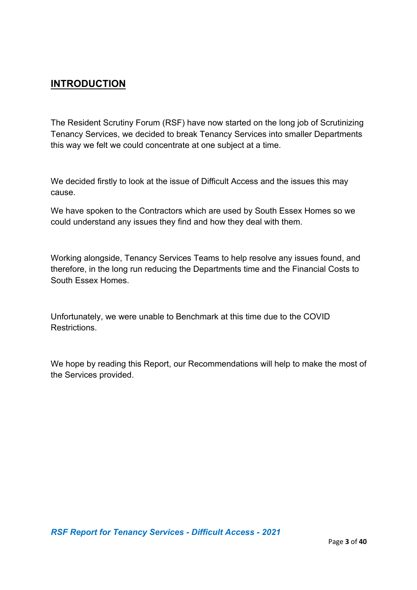### **INTRODUCTION**

The Resident Scrutiny Forum (RSF) have now started on the long job of Scrutinizing Tenancy Services, we decided to break Tenancy Services into smaller Departments this way we felt we could concentrate at one subject at a time.

We decided firstly to look at the issue of Difficult Access and the issues this may cause.

We have spoken to the Contractors which are used by South Essex Homes so we could understand any issues they find and how they deal with them.

Working alongside, Tenancy Services Teams to help resolve any issues found, and therefore, in the long run reducing the Departments time and the Financial Costs to South Essex Homes.

Unfortunately, we were unable to Benchmark at this time due to the COVID Restrictions.

We hope by reading this Report, our Recommendations will help to make the most of the Services provided.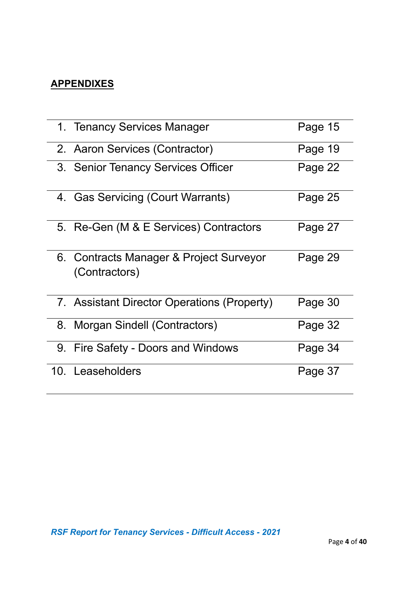# **APPENDIXES**

| 1. Tenancy Services Manager                              | Page 15 |
|----------------------------------------------------------|---------|
| 2. Aaron Services (Contractor)                           | Page 19 |
| 3. Senior Tenancy Services Officer                       | Page 22 |
| 4. Gas Servicing (Court Warrants)                        | Page 25 |
| 5. Re-Gen (M & E Services) Contractors                   | Page 27 |
| 6. Contracts Manager & Project Surveyor<br>(Contractors) | Page 29 |
| 7. Assistant Director Operations (Property)              | Page 30 |
| 8. Morgan Sindell (Contractors)                          | Page 32 |
| 9. Fire Safety - Doors and Windows                       | Page 34 |
| 10. Leaseholders                                         | Page 37 |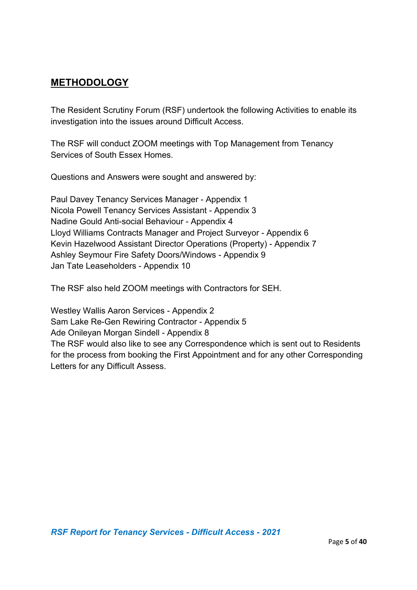### **METHODOLOGY**

The Resident Scrutiny Forum (RSF) undertook the following Activities to enable its investigation into the issues around Difficult Access.

The RSF will conduct ZOOM meetings with Top Management from Tenancy Services of South Essex Homes.

Questions and Answers were sought and answered by:

Paul Davey Tenancy Services Manager - Appendix 1 Nicola Powell Tenancy Services Assistant - Appendix 3 Nadine Gould Anti-social Behaviour - Appendix 4 Lloyd Williams Contracts Manager and Project Surveyor - Appendix 6 Kevin Hazelwood Assistant Director Operations (Property) - Appendix 7 Ashley Seymour Fire Safety Doors/Windows - Appendix 9 Jan Tate Leaseholders - Appendix 10

The RSF also held ZOOM meetings with Contractors for SEH.

Westley Wallis Aaron Services - Appendix 2 Sam Lake Re-Gen Rewiring Contractor - Appendix 5 Ade Onileyan Morgan Sindell - Appendix 8 The RSF would also like to see any Correspondence which is sent out to Residents for the process from booking the First Appointment and for any other Corresponding Letters for any Difficult Assess.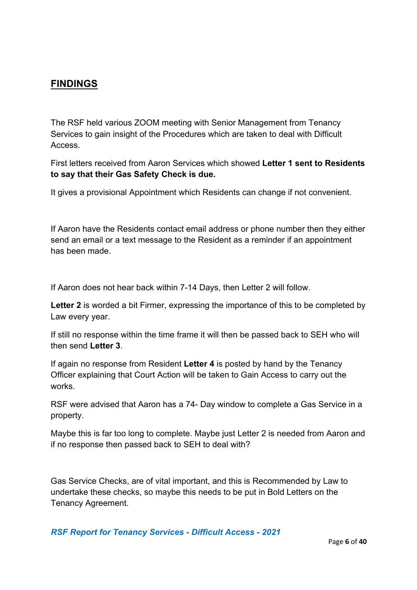### **FINDINGS**

The RSF held various ZOOM meeting with Senior Management from Tenancy Services to gain insight of the Procedures which are taken to deal with Difficult Access.

First letters received from Aaron Services which showed **Letter 1 sent to Residents to say that their Gas Safety Check is due.** 

It gives a provisional Appointment which Residents can change if not convenient.

If Aaron have the Residents contact email address or phone number then they either send an email or a text message to the Resident as a reminder if an appointment has been made.

If Aaron does not hear back within 7-14 Days, then Letter 2 will follow.

**Letter 2** is worded a bit Firmer, expressing the importance of this to be completed by Law every year.

If still no response within the time frame it will then be passed back to SEH who will then send **Letter 3**.

If again no response from Resident **Letter 4** is posted by hand by the Tenancy Officer explaining that Court Action will be taken to Gain Access to carry out the works.

RSF were advised that Aaron has a 74- Day window to complete a Gas Service in a property.

Maybe this is far too long to complete. Maybe just Letter 2 is needed from Aaron and if no response then passed back to SEH to deal with?

Gas Service Checks, are of vital important, and this is Recommended by Law to undertake these checks, so maybe this needs to be put in Bold Letters on the Tenancy Agreement.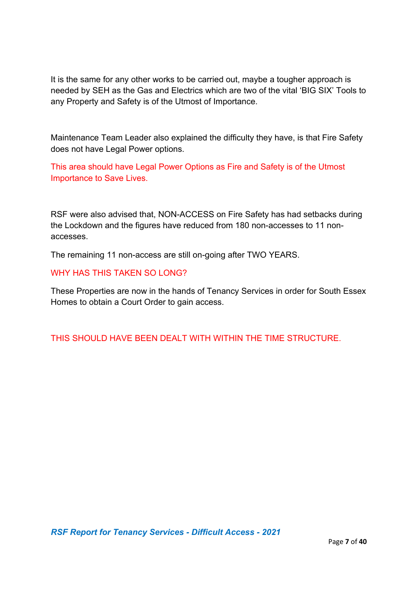It is the same for any other works to be carried out, maybe a tougher approach is needed by SEH as the Gas and Electrics which are two of the vital 'BIG SIX' Tools to any Property and Safety is of the Utmost of Importance.

Maintenance Team Leader also explained the difficulty they have, is that Fire Safety does not have Legal Power options.

This area should have Legal Power Options as Fire and Safety is of the Utmost Importance to Save Lives.

RSF were also advised that, NON-ACCESS on Fire Safety has had setbacks during the Lockdown and the figures have reduced from 180 non-accesses to 11 nonaccesses.

The remaining 11 non-access are still on-going after TWO YEARS.

#### WHY HAS THIS TAKEN SO LONG?

These Properties are now in the hands of Tenancy Services in order for South Essex Homes to obtain a Court Order to gain access.

THIS SHOULD HAVE BEEN DEALT WITH WITHIN THE TIME STRUCTURE.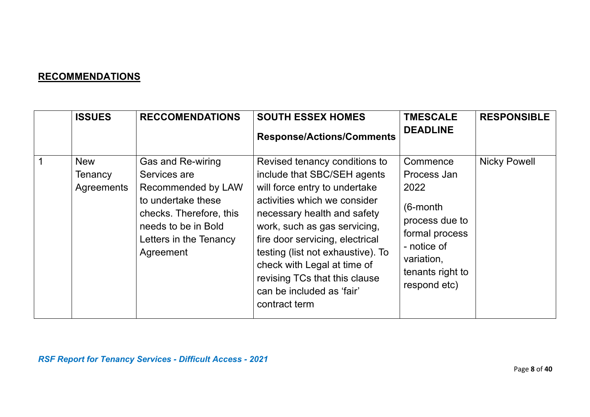# **RECOMMENDATIONS**

| <b>ISSUES</b>                       | <b>RECCOMENDATIONS</b>                                                                                                                                                 | <b>SOUTH ESSEX HOMES</b><br><b>Response/Actions/Comments</b>                                                                                                                                                                                                                                                                                                                       | <b>TMESCALE</b><br><b>DEADLINE</b>                                                                                                                  | <b>RESPONSIBLE</b>  |
|-------------------------------------|------------------------------------------------------------------------------------------------------------------------------------------------------------------------|------------------------------------------------------------------------------------------------------------------------------------------------------------------------------------------------------------------------------------------------------------------------------------------------------------------------------------------------------------------------------------|-----------------------------------------------------------------------------------------------------------------------------------------------------|---------------------|
| <b>New</b><br>Tenancy<br>Agreements | Gas and Re-wiring<br>Services are<br>Recommended by LAW<br>to undertake these<br>checks. Therefore, this<br>needs to be in Bold<br>Letters in the Tenancy<br>Agreement | Revised tenancy conditions to<br>include that SBC/SEH agents<br>will force entry to undertake<br>activities which we consider<br>necessary health and safety<br>work, such as gas servicing,<br>fire door servicing, electrical<br>testing (list not exhaustive). To<br>check with Legal at time of<br>revising TCs that this clause<br>can be included as 'fair'<br>contract term | Commence<br>Process Jan<br>2022<br>$(6$ -month<br>process due to<br>formal process<br>- notice of<br>variation,<br>tenants right to<br>respond etc) | <b>Nicky Powell</b> |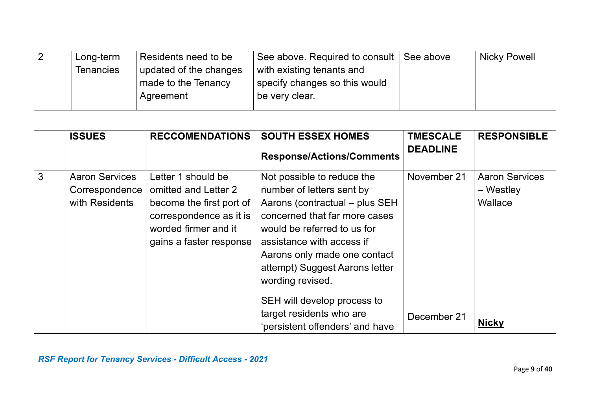| Long-term | Residents need to be   | See above. Required to consult | See above | <b>Nicky Powell</b> |
|-----------|------------------------|--------------------------------|-----------|---------------------|
| Tenancies | updated of the changes | with existing tenants and      |           |                     |
|           | made to the Tenancy    | specify changes so this would  |           |                     |
|           | Agreement              | be very clear.                 |           |                     |
|           |                        |                                |           |                     |

|   | <b>ISSUES</b>                                             | <b>RECCOMENDATIONS</b>                                                                                                                               | <b>SOUTH ESSEX HOMES</b>                                                                                                                                                                                                                                                                                    | <b>TMESCALE</b> | <b>RESPONSIBLE</b>                              |
|---|-----------------------------------------------------------|------------------------------------------------------------------------------------------------------------------------------------------------------|-------------------------------------------------------------------------------------------------------------------------------------------------------------------------------------------------------------------------------------------------------------------------------------------------------------|-----------------|-------------------------------------------------|
|   |                                                           |                                                                                                                                                      | <b>Response/Actions/Comments</b>                                                                                                                                                                                                                                                                            | <b>DEADLINE</b> |                                                 |
| 3 | <b>Aaron Services</b><br>Correspondence<br>with Residents | Letter 1 should be<br>omitted and Letter 2<br>become the first port of<br>correspondence as it is<br>worded firmer and it<br>gains a faster response | Not possible to reduce the<br>number of letters sent by<br>Aarons (contractual – plus SEH<br>concerned that far more cases<br>would be referred to us for<br>assistance with access if<br>Aarons only made one contact<br>attempt) Suggest Aarons letter<br>wording revised.<br>SEH will develop process to | November 21     | <b>Aaron Services</b><br>$-$ Westley<br>Wallace |
|   |                                                           |                                                                                                                                                      | target residents who are<br>'persistent offenders' and have                                                                                                                                                                                                                                                 | December 21     | <b>Nicky</b>                                    |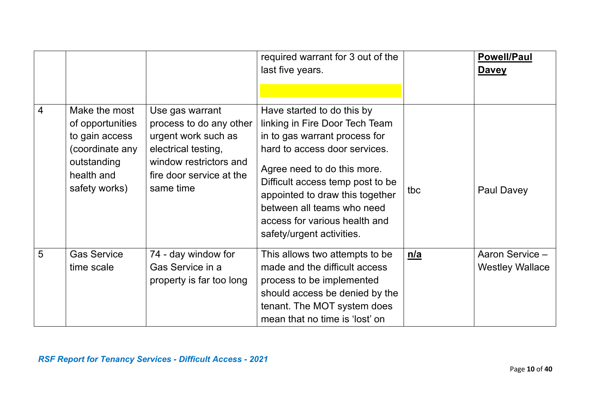|                |                                                                                                                      |                                                                                                                                                             | required warrant for 3 out of the<br>last five years.                                                                                                                                                                                                                                                                            |            | <b>Powell/Paul</b><br><b>Davey</b>        |
|----------------|----------------------------------------------------------------------------------------------------------------------|-------------------------------------------------------------------------------------------------------------------------------------------------------------|----------------------------------------------------------------------------------------------------------------------------------------------------------------------------------------------------------------------------------------------------------------------------------------------------------------------------------|------------|-------------------------------------------|
| $\overline{4}$ | Make the most<br>of opportunities<br>to gain access<br>(coordinate any<br>outstanding<br>health and<br>safety works) | Use gas warrant<br>process to do any other<br>urgent work such as<br>electrical testing,<br>window restrictors and<br>fire door service at the<br>same time | Have started to do this by<br>linking in Fire Door Tech Team<br>in to gas warrant process for<br>hard to access door services.<br>Agree need to do this more.<br>Difficult access temp post to be<br>appointed to draw this together<br>between all teams who need<br>access for various health and<br>safety/urgent activities. | tbc        | Paul Davey                                |
| 5              | <b>Gas Service</b><br>time scale                                                                                     | 74 - day window for<br>Gas Service in a<br>property is far too long                                                                                         | This allows two attempts to be<br>made and the difficult access<br>process to be implemented<br>should access be denied by the<br>tenant. The MOT system does<br>mean that no time is 'lost' on                                                                                                                                  | <u>n/a</u> | Aaron Service -<br><b>Westley Wallace</b> |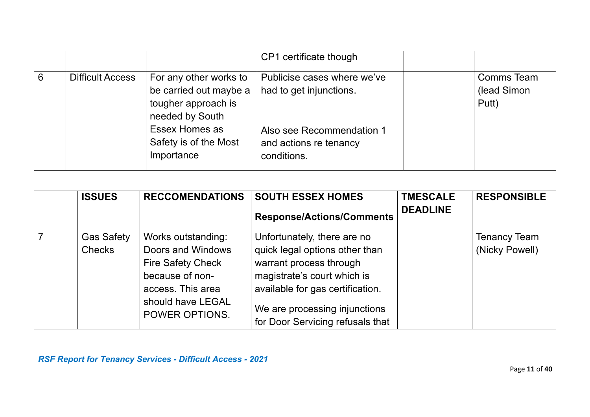|   |                         |                                                                                                                                                     | CP1 certificate though                                                                                                       |                                    |
|---|-------------------------|-----------------------------------------------------------------------------------------------------------------------------------------------------|------------------------------------------------------------------------------------------------------------------------------|------------------------------------|
| 6 | <b>Difficult Access</b> | For any other works to<br>be carried out maybe a<br>tougher approach is<br>needed by South<br>Essex Homes as<br>Safety is of the Most<br>Importance | Publicise cases where we've<br>had to get injunctions.<br>Also see Recommendation 1<br>and actions re tenancy<br>conditions. | Comms Team<br>(lead Simon<br>Putt) |

| <b>ISSUES</b>     | <b>RECCOMENDATIONS</b>              | <b>SOUTH ESSEX HOMES</b>                                          | <b>TMESCALE</b> | <b>RESPONSIBLE</b>  |
|-------------------|-------------------------------------|-------------------------------------------------------------------|-----------------|---------------------|
|                   |                                     | <b>Response/Actions/Comments</b>                                  | <b>DEADLINE</b> |                     |
| <b>Gas Safety</b> | Works outstanding:                  | Unfortunately, there are no                                       |                 | <b>Tenancy Team</b> |
| <b>Checks</b>     | Doors and Windows                   | quick legal options other than                                    |                 | (Nicky Powell)      |
|                   | <b>Fire Safety Check</b>            | warrant process through                                           |                 |                     |
|                   | because of non-                     | magistrate's court which is                                       |                 |                     |
|                   | access. This area                   | available for gas certification.                                  |                 |                     |
|                   | should have LEGAL<br>POWER OPTIONS. | We are processing injunctions<br>for Door Servicing refusals that |                 |                     |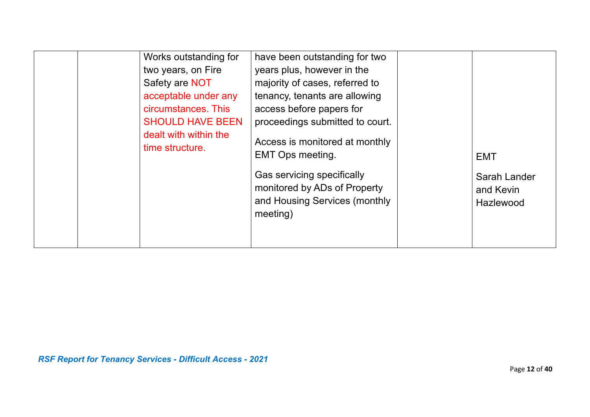| Works outstanding for<br>two years, on Fire<br>Safety are NOT<br>acceptable under any<br>circumstances. This<br><b>SHOULD HAVE BEEN</b><br>dealt with within the<br>time structure. | have been outstanding for two<br>years plus, however in the<br>majority of cases, referred to<br>tenancy, tenants are allowing<br>access before papers for<br>proceedings submitted to court.<br>Access is monitored at monthly<br><b>EMT Ops meeting.</b><br>Gas servicing specifically<br>monitored by ADs of Property<br>and Housing Services (monthly<br>meeting) | <b>EMT</b><br>Sarah Lander<br>and Kevin<br>Hazlewood |
|-------------------------------------------------------------------------------------------------------------------------------------------------------------------------------------|-----------------------------------------------------------------------------------------------------------------------------------------------------------------------------------------------------------------------------------------------------------------------------------------------------------------------------------------------------------------------|------------------------------------------------------|
|-------------------------------------------------------------------------------------------------------------------------------------------------------------------------------------|-----------------------------------------------------------------------------------------------------------------------------------------------------------------------------------------------------------------------------------------------------------------------------------------------------------------------------------------------------------------------|------------------------------------------------------|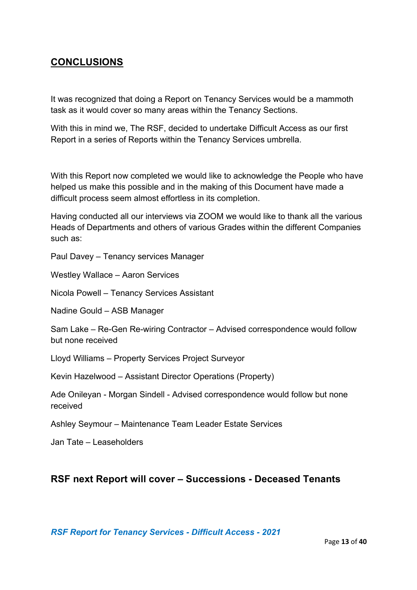#### **CONCLUSIONS**

It was recognized that doing a Report on Tenancy Services would be a mammoth task as it would cover so many areas within the Tenancy Sections.

With this in mind we, The RSF, decided to undertake Difficult Access as our first Report in a series of Reports within the Tenancy Services umbrella.

With this Report now completed we would like to acknowledge the People who have helped us make this possible and in the making of this Document have made a difficult process seem almost effortless in its completion.

Having conducted all our interviews via ZOOM we would like to thank all the various Heads of Departments and others of various Grades within the different Companies such as:

Paul Davey – Tenancy services Manager

Westley Wallace – Aaron Services

Nicola Powell – Tenancy Services Assistant

Nadine Gould – ASB Manager

Sam Lake – Re-Gen Re-wiring Contractor – Advised correspondence would follow but none received

Lloyd Williams – Property Services Project Surveyor

Kevin Hazelwood – Assistant Director Operations (Property)

Ade Onileyan - Morgan Sindell - Advised correspondence would follow but none received

Ashley Seymour – Maintenance Team Leader Estate Services

Jan Tate – Leaseholders

#### **RSF next Report will cover – Successions - Deceased Tenants**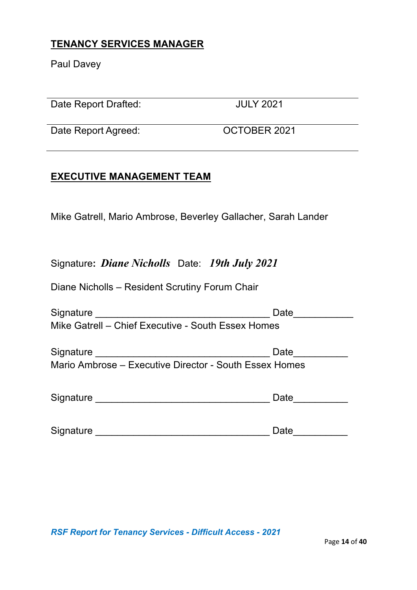### **TENANCY SERVICES MANAGER**

Paul Davey

Date Report Drafted: JULY 2021

Date Report Agreed: COCTOBER 2021

### **EXECUTIVE MANAGEMENT TEAM**

Mike Gatrell, Mario Ambrose, Beverley Gallacher, Sarah Lander

## Signature**:** *Diane Nicholls* Date: *19th July 2021*

Diane Nicholls – Resident Scrutiny Forum Chair

| Signature                                              | Date |
|--------------------------------------------------------|------|
| Mike Gatrell - Chief Executive - South Essex Homes     |      |
| Signature                                              | Date |
| Mario Ambrose – Executive Director - South Essex Homes |      |
|                                                        |      |
| Signature                                              | Date |
|                                                        |      |
| Signature                                              | Date |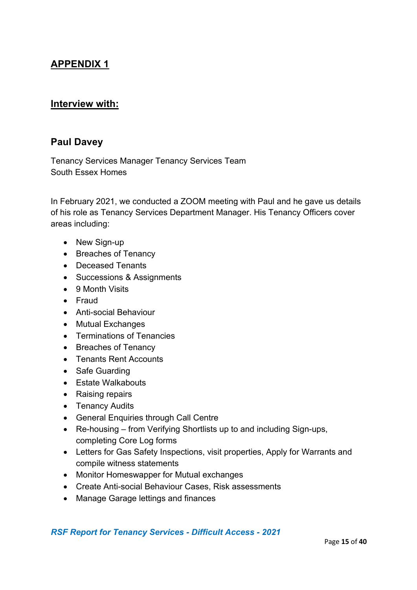# **APPENDIX 1**

#### **Interview with:**

#### **Paul Davey**

Tenancy Services Manager Tenancy Services Team South Essex Homes

In February 2021, we conducted a ZOOM meeting with Paul and he gave us details of his role as Tenancy Services Department Manager. His Tenancy Officers cover areas including:

- New Sign-up
- Breaches of Tenancy
- Deceased Tenants
- Successions & Assignments
- 9 Month Visits
- Fraud
- Anti-social Behaviour
- Mutual Exchanges
- Terminations of Tenancies
- Breaches of Tenancy
- Tenants Rent Accounts
- Safe Guarding
- Estate Walkabouts
- Raising repairs
- Tenancy Audits
- General Enquiries through Call Centre
- Re-housing from Verifying Shortlists up to and including Sign-ups, completing Core Log forms
- Letters for Gas Safety Inspections, visit properties, Apply for Warrants and compile witness statements
- Monitor Homeswapper for Mutual exchanges
- Create Anti-social Behaviour Cases, Risk assessments
- Manage Garage lettings and finances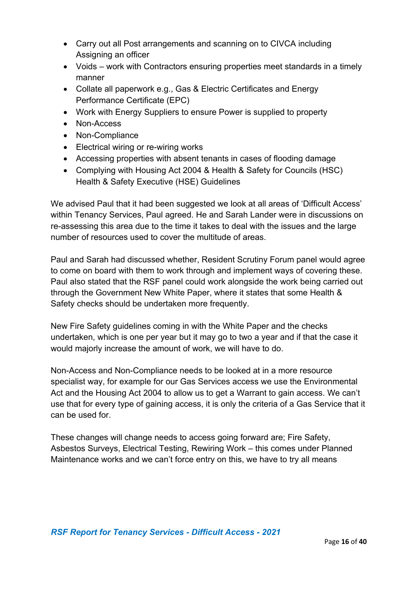- Carry out all Post arrangements and scanning on to CIVCA including Assigning an officer
- Voids work with Contractors ensuring properties meet standards in a timely manner
- Collate all paperwork e.g., Gas & Electric Certificates and Energy Performance Certificate (EPC)
- Work with Energy Suppliers to ensure Power is supplied to property
- Non-Access
- Non-Compliance
- Electrical wiring or re-wiring works
- Accessing properties with absent tenants in cases of flooding damage
- Complying with Housing Act 2004 & Health & Safety for Councils (HSC) Health & Safety Executive (HSE) Guidelines

We advised Paul that it had been suggested we look at all areas of 'Difficult Access' within Tenancy Services, Paul agreed. He and Sarah Lander were in discussions on re-assessing this area due to the time it takes to deal with the issues and the large number of resources used to cover the multitude of areas.

Paul and Sarah had discussed whether, Resident Scrutiny Forum panel would agree to come on board with them to work through and implement ways of covering these. Paul also stated that the RSF panel could work alongside the work being carried out through the Government New White Paper, where it states that some Health & Safety checks should be undertaken more frequently.

New Fire Safety guidelines coming in with the White Paper and the checks undertaken, which is one per year but it may go to two a year and if that the case it would majorly increase the amount of work, we will have to do.

Non-Access and Non-Compliance needs to be looked at in a more resource specialist way, for example for our Gas Services access we use the Environmental Act and the Housing Act 2004 to allow us to get a Warrant to gain access. We can't use that for every type of gaining access, it is only the criteria of a Gas Service that it can be used for.

These changes will change needs to access going forward are; Fire Safety, Asbestos Surveys, Electrical Testing, Rewiring Work – this comes under Planned Maintenance works and we can't force entry on this, we have to try all means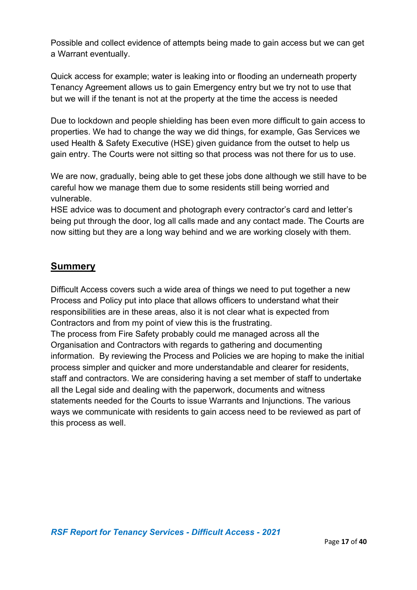Possible and collect evidence of attempts being made to gain access but we can get a Warrant eventually.

Quick access for example; water is leaking into or flooding an underneath property Tenancy Agreement allows us to gain Emergency entry but we try not to use that but we will if the tenant is not at the property at the time the access is needed

Due to lockdown and people shielding has been even more difficult to gain access to properties. We had to change the way we did things, for example, Gas Services we used Health & Safety Executive (HSE) given guidance from the outset to help us gain entry. The Courts were not sitting so that process was not there for us to use.

We are now, gradually, being able to get these jobs done although we still have to be careful how we manage them due to some residents still being worried and vulnerable.

HSE advice was to document and photograph every contractor's card and letter's being put through the door, log all calls made and any contact made. The Courts are now sitting but they are a long way behind and we are working closely with them.

### **Summery**

Difficult Access covers such a wide area of things we need to put together a new Process and Policy put into place that allows officers to understand what their responsibilities are in these areas, also it is not clear what is expected from Contractors and from my point of view this is the frustrating.

The process from Fire Safety probably could me managed across all the Organisation and Contractors with regards to gathering and documenting information. By reviewing the Process and Policies we are hoping to make the initial process simpler and quicker and more understandable and clearer for residents, staff and contractors. We are considering having a set member of staff to undertake all the Legal side and dealing with the paperwork, documents and witness statements needed for the Courts to issue Warrants and Injunctions. The various ways we communicate with residents to gain access need to be reviewed as part of this process as well.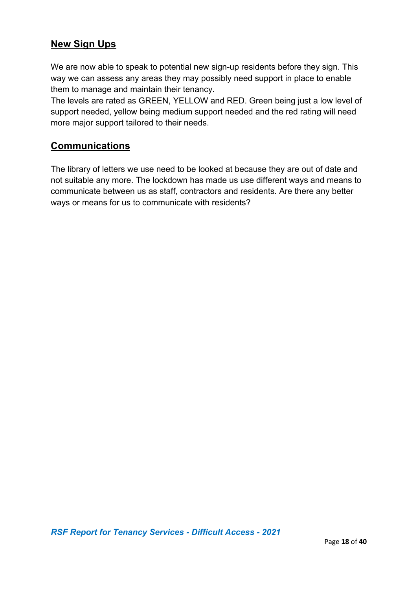### **New Sign Ups**

We are now able to speak to potential new sign-up residents before they sign. This way we can assess any areas they may possibly need support in place to enable them to manage and maintain their tenancy.

The levels are rated as GREEN, YELLOW and RED. Green being just a low level of support needed, yellow being medium support needed and the red rating will need more major support tailored to their needs.

### **Communications**

The library of letters we use need to be looked at because they are out of date and not suitable any more. The lockdown has made us use different ways and means to communicate between us as staff, contractors and residents. Are there any better ways or means for us to communicate with residents?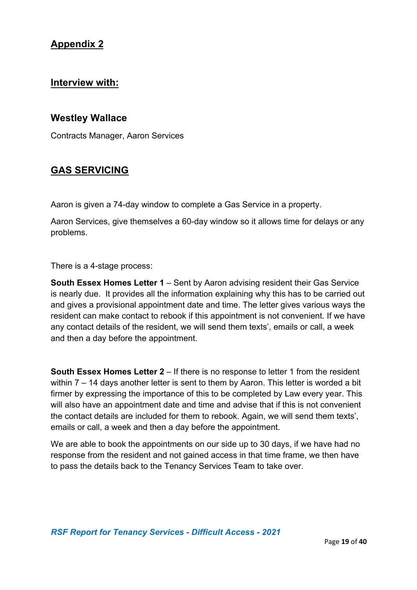#### **Interview with:**

#### **Westley Wallace**

Contracts Manager, Aaron Services

#### **GAS SERVICING**

Aaron is given a 74-day window to complete a Gas Service in a property.

Aaron Services, give themselves a 60-day window so it allows time for delays or any problems.

There is a 4-stage process:

**South Essex Homes Letter 1** – Sent by Aaron advising resident their Gas Service is nearly due. It provides all the information explaining why this has to be carried out and gives a provisional appointment date and time. The letter gives various ways the resident can make contact to rebook if this appointment is not convenient. If we have any contact details of the resident, we will send them texts', emails or call, a week and then a day before the appointment.

**South Essex Homes Letter 2** – If there is no response to letter 1 from the resident within 7 – 14 days another letter is sent to them by Aaron. This letter is worded a bit firmer by expressing the importance of this to be completed by Law every year. This will also have an appointment date and time and advise that if this is not convenient the contact details are included for them to rebook. Again, we will send them texts', emails or call, a week and then a day before the appointment.

We are able to book the appointments on our side up to 30 days, if we have had no response from the resident and not gained access in that time frame, we then have to pass the details back to the Tenancy Services Team to take over.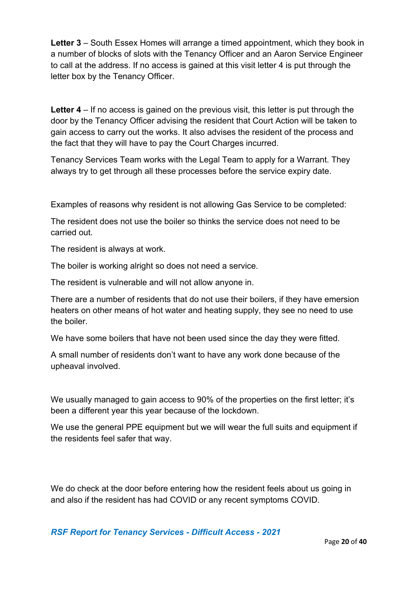**Letter 3** – South Essex Homes will arrange a timed appointment, which they book in a number of blocks of slots with the Tenancy Officer and an Aaron Service Engineer to call at the address. If no access is gained at this visit letter 4 is put through the letter box by the Tenancy Officer.

**Letter 4** – If no access is gained on the previous visit, this letter is put through the door by the Tenancy Officer advising the resident that Court Action will be taken to gain access to carry out the works. It also advises the resident of the process and the fact that they will have to pay the Court Charges incurred.

Tenancy Services Team works with the Legal Team to apply for a Warrant. They always try to get through all these processes before the service expiry date.

Examples of reasons why resident is not allowing Gas Service to be completed:

The resident does not use the boiler so thinks the service does not need to be carried out.

The resident is always at work.

The boiler is working alright so does not need a service.

The resident is vulnerable and will not allow anyone in.

There are a number of residents that do not use their boilers, if they have emersion heaters on other means of hot water and heating supply, they see no need to use the boiler.

We have some boilers that have not been used since the day they were fitted.

A small number of residents don't want to have any work done because of the upheaval involved.

We usually managed to gain access to 90% of the properties on the first letter; it's been a different year this year because of the lockdown.

We use the general PPE equipment but we will wear the full suits and equipment if the residents feel safer that way.

We do check at the door before entering how the resident feels about us going in and also if the resident has had COVID or any recent symptoms COVID.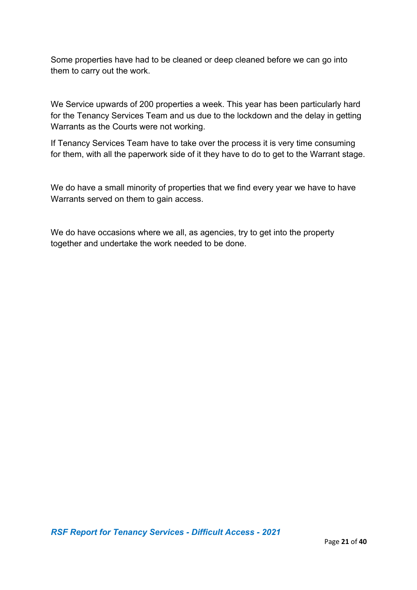Some properties have had to be cleaned or deep cleaned before we can go into them to carry out the work.

We Service upwards of 200 properties a week. This year has been particularly hard for the Tenancy Services Team and us due to the lockdown and the delay in getting Warrants as the Courts were not working.

If Tenancy Services Team have to take over the process it is very time consuming for them, with all the paperwork side of it they have to do to get to the Warrant stage.

We do have a small minority of properties that we find every year we have to have Warrants served on them to gain access.

We do have occasions where we all, as agencies, try to get into the property together and undertake the work needed to be done.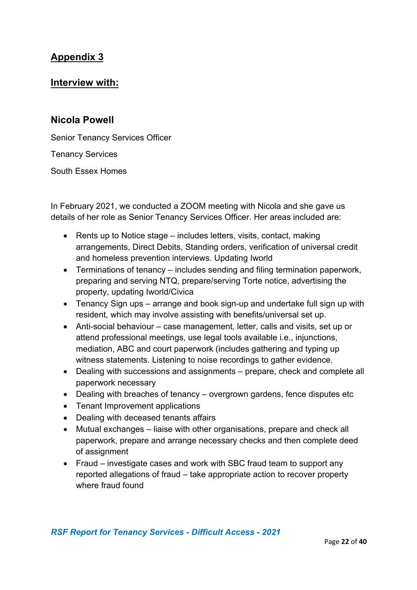#### **Interview with:**

#### **Nicola Powell**

Senior Tenancy Services Officer

Tenancy Services

South Essex Homes

In February 2021, we conducted a ZOOM meeting with Nicola and she gave us details of her role as Senior Tenancy Services Officer. Her areas included are:

- Rents up to Notice stage includes letters, visits, contact, making arrangements, Direct Debits, Standing orders, verification of universal credit and homeless prevention interviews. Updating Iworld
- Terminations of tenancy includes sending and filing termination paperwork, preparing and serving NTQ, prepare/serving Torte notice, advertising the property, updating Iworld/Civica
- Tenancy Sign ups arrange and book sign-up and undertake full sign up with resident, which may involve assisting with benefits/universal set up.
- Anti-social behaviour case management, letter, calls and visits, set up or attend professional meetings, use legal tools available i.e., injunctions, mediation, ABC and court paperwork (includes gathering and typing up witness statements. Listening to noise recordings to gather evidence.
- Dealing with successions and assignments prepare, check and complete all paperwork necessary
- Dealing with breaches of tenancy overgrown gardens, fence disputes etc
- Tenant Improvement applications
- Dealing with deceased tenants affairs
- Mutual exchanges liaise with other organisations, prepare and check all paperwork, prepare and arrange necessary checks and then complete deed of assignment
- Fraud investigate cases and work with SBC fraud team to support any reported allegations of fraud – take appropriate action to recover property where fraud found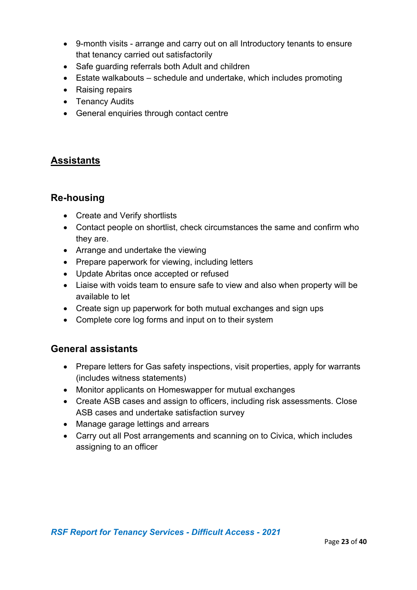- 9-month visits arrange and carry out on all Introductory tenants to ensure that tenancy carried out satisfactorily
- Safe guarding referrals both Adult and children
- Estate walkabouts schedule and undertake, which includes promoting
- Raising repairs
- Tenancy Audits
- General enquiries through contact centre

### **Assistants**

#### **Re-housing**

- Create and Verify shortlists
- Contact people on shortlist, check circumstances the same and confirm who they are.
- Arrange and undertake the viewing
- Prepare paperwork for viewing, including letters
- Update Abritas once accepted or refused
- Liaise with voids team to ensure safe to view and also when property will be available to let
- Create sign up paperwork for both mutual exchanges and sign ups
- Complete core log forms and input on to their system

#### **General assistants**

- Prepare letters for Gas safety inspections, visit properties, apply for warrants (includes witness statements)
- Monitor applicants on Homeswapper for mutual exchanges
- Create ASB cases and assign to officers, including risk assessments. Close ASB cases and undertake satisfaction survey
- Manage garage lettings and arrears
- Carry out all Post arrangements and scanning on to Civica, which includes assigning to an officer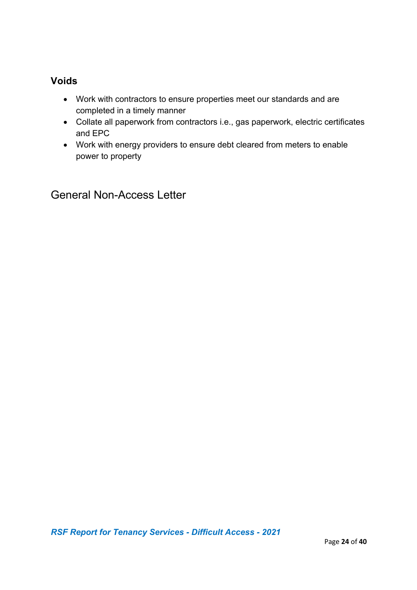### **Voids**

- Work with contractors to ensure properties meet our standards and are completed in a timely manner
- Collate all paperwork from contractors i.e., gas paperwork, electric certificates and EPC
- Work with energy providers to ensure debt cleared from meters to enable power to property

General Non-Access Letter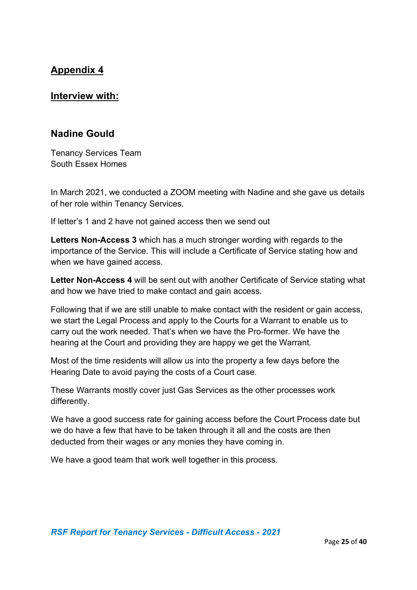#### **Interview with:**

#### **Nadine Gould**

Tenancy Services Team South Essex Homes

In March 2021, we conducted a ZOOM meeting with Nadine and she gave us details of her role within Tenancy Services.

If letter's 1 and 2 have not gained access then we send out

**Letters Non-Access 3** which has a much stronger wording with regards to the importance of the Service. This will include a Certificate of Service stating how and when we have gained access.

**Letter Non-Access 4** will be sent out with another Certificate of Service stating what and how we have tried to make contact and gain access.

Following that if we are still unable to make contact with the resident or gain access, we start the Legal Process and apply to the Courts for a Warrant to enable us to carry out the work needed. That's when we have the Pro-former. We have the hearing at the Court and providing they are happy we get the Warrant.

Most of the time residents will allow us into the property a few days before the Hearing Date to avoid paying the costs of a Court case.

These Warrants mostly cover just Gas Services as the other processes work differently.

We have a good success rate for gaining access before the Court Process date but we do have a few that have to be taken through it all and the costs are then deducted from their wages or any monies they have coming in.

We have a good team that work well together in this process.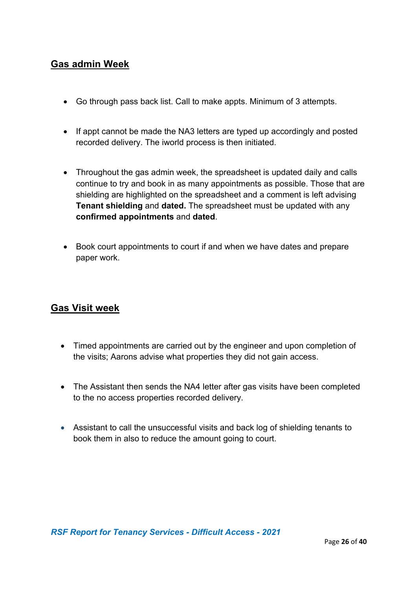### **Gas admin Week**

- Go through pass back list. Call to make appts. Minimum of 3 attempts.
- If appt cannot be made the NA3 letters are typed up accordingly and posted recorded delivery. The iworld process is then initiated.
- Throughout the gas admin week, the spreadsheet is updated daily and calls continue to try and book in as many appointments as possible. Those that are shielding are highlighted on the spreadsheet and a comment is left advising **Tenant shielding** and **dated.** The spreadsheet must be updated with any **confirmed appointments** and **dated**.
- Book court appointments to court if and when we have dates and prepare paper work.

### **Gas Visit week**

- Timed appointments are carried out by the engineer and upon completion of the visits; Aarons advise what properties they did not gain access.
- The Assistant then sends the NA4 letter after gas visits have been completed to the no access properties recorded delivery.
- Assistant to call the unsuccessful visits and back log of shielding tenants to book them in also to reduce the amount going to court.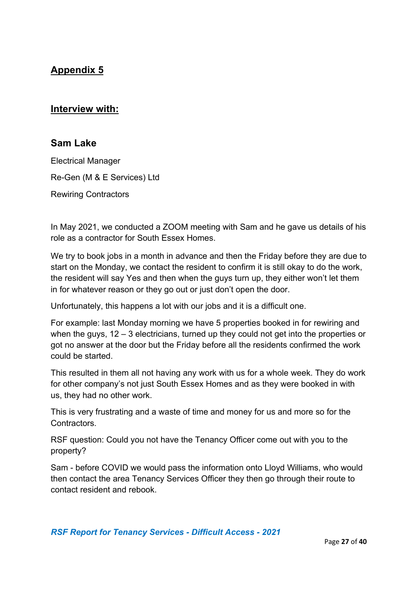### **Interview with:**

#### **Sam Lake**

Electrical Manager Re-Gen (M & E Services) Ltd Rewiring Contractors

In May 2021, we conducted a ZOOM meeting with Sam and he gave us details of his role as a contractor for South Essex Homes.

We try to book jobs in a month in advance and then the Friday before they are due to start on the Monday, we contact the resident to confirm it is still okay to do the work, the resident will say Yes and then when the guys turn up, they either won't let them in for whatever reason or they go out or just don't open the door.

Unfortunately, this happens a lot with our jobs and it is a difficult one.

For example: last Monday morning we have 5 properties booked in for rewiring and when the guys, 12 – 3 electricians, turned up they could not get into the properties or got no answer at the door but the Friday before all the residents confirmed the work could be started.

This resulted in them all not having any work with us for a whole week. They do work for other company's not just South Essex Homes and as they were booked in with us, they had no other work.

This is very frustrating and a waste of time and money for us and more so for the Contractors.

RSF question: Could you not have the Tenancy Officer come out with you to the property?

Sam - before COVID we would pass the information onto Lloyd Williams, who would then contact the area Tenancy Services Officer they then go through their route to contact resident and rebook.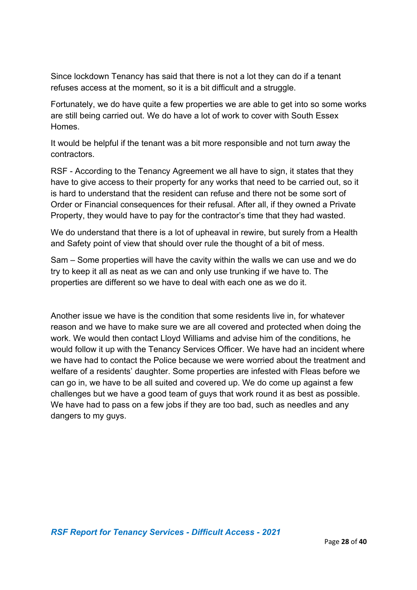Since lockdown Tenancy has said that there is not a lot they can do if a tenant refuses access at the moment, so it is a bit difficult and a struggle.

Fortunately, we do have quite a few properties we are able to get into so some works are still being carried out. We do have a lot of work to cover with South Essex Homes.

It would be helpful if the tenant was a bit more responsible and not turn away the contractors.

RSF - According to the Tenancy Agreement we all have to sign, it states that they have to give access to their property for any works that need to be carried out, so it is hard to understand that the resident can refuse and there not be some sort of Order or Financial consequences for their refusal. After all, if they owned a Private Property, they would have to pay for the contractor's time that they had wasted.

We do understand that there is a lot of upheaval in rewire, but surely from a Health and Safety point of view that should over rule the thought of a bit of mess.

Sam – Some properties will have the cavity within the walls we can use and we do try to keep it all as neat as we can and only use trunking if we have to. The properties are different so we have to deal with each one as we do it.

Another issue we have is the condition that some residents live in, for whatever reason and we have to make sure we are all covered and protected when doing the work. We would then contact Lloyd Williams and advise him of the conditions, he would follow it up with the Tenancy Services Officer. We have had an incident where we have had to contact the Police because we were worried about the treatment and welfare of a residents' daughter. Some properties are infested with Fleas before we can go in, we have to be all suited and covered up. We do come up against a few challenges but we have a good team of guys that work round it as best as possible. We have had to pass on a few jobs if they are too bad, such as needles and any dangers to my guys.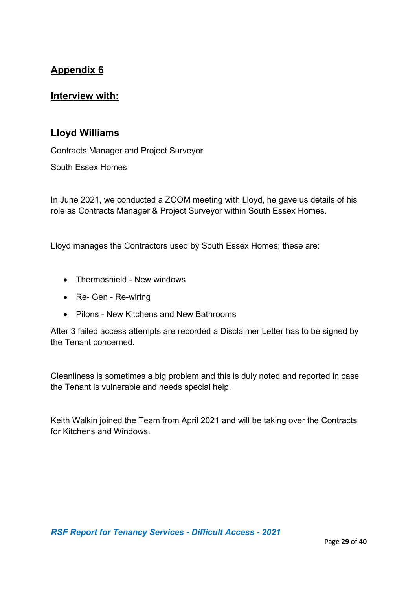#### **Interview with:**

#### **Lloyd Williams**

Contracts Manager and Project Surveyor

South Essex Homes

In June 2021, we conducted a ZOOM meeting with Lloyd, he gave us details of his role as Contracts Manager & Project Surveyor within South Essex Homes.

Lloyd manages the Contractors used by South Essex Homes; these are:

- Thermoshield New windows
- Re- Gen Re-wiring
- Pilons New Kitchens and New Bathrooms

After 3 failed access attempts are recorded a Disclaimer Letter has to be signed by the Tenant concerned.

Cleanliness is sometimes a big problem and this is duly noted and reported in case the Tenant is vulnerable and needs special help.

Keith Walkin joined the Team from April 2021 and will be taking over the Contracts for Kitchens and Windows.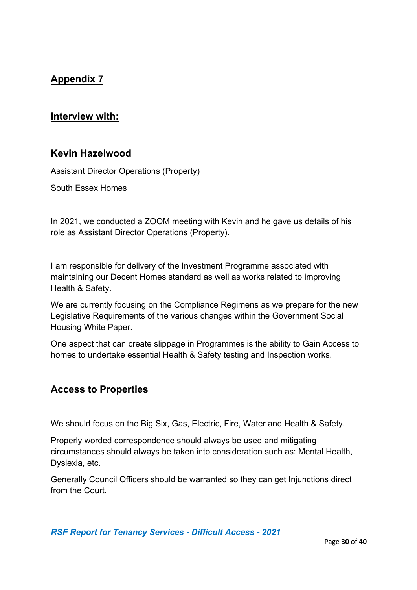#### **Interview with:**

#### **Kevin Hazelwood**

Assistant Director Operations (Property)

South Essex Homes

In 2021, we conducted a ZOOM meeting with Kevin and he gave us details of his role as Assistant Director Operations (Property).

I am responsible for delivery of the Investment Programme associated with maintaining our Decent Homes standard as well as works related to improving Health & Safety.

We are currently focusing on the Compliance Regimens as we prepare for the new Legislative Requirements of the various changes within the Government Social Housing White Paper.

One aspect that can create slippage in Programmes is the ability to Gain Access to homes to undertake essential Health & Safety testing and Inspection works.

#### **Access to Properties**

We should focus on the Big Six, Gas, Electric, Fire, Water and Health & Safety.

Properly worded correspondence should always be used and mitigating circumstances should always be taken into consideration such as: Mental Health, Dyslexia, etc.

Generally Council Officers should be warranted so they can get Injunctions direct from the Court.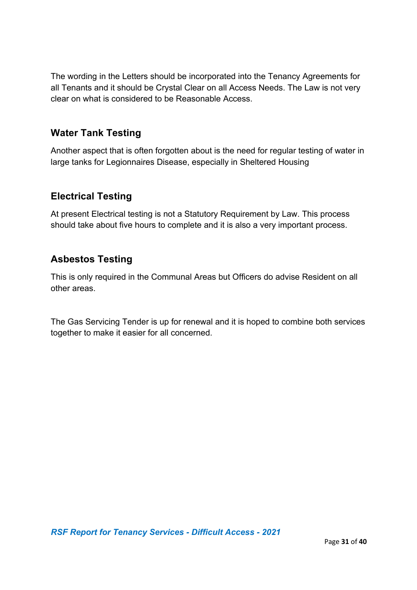The wording in the Letters should be incorporated into the Tenancy Agreements for all Tenants and it should be Crystal Clear on all Access Needs. The Law is not very clear on what is considered to be Reasonable Access.

### **Water Tank Testing**

Another aspect that is often forgotten about is the need for regular testing of water in large tanks for Legionnaires Disease, especially in Sheltered Housing

## **Electrical Testing**

At present Electrical testing is not a Statutory Requirement by Law. This process should take about five hours to complete and it is also a very important process.

## **Asbestos Testing**

This is only required in the Communal Areas but Officers do advise Resident on all other areas.

The Gas Servicing Tender is up for renewal and it is hoped to combine both services together to make it easier for all concerned.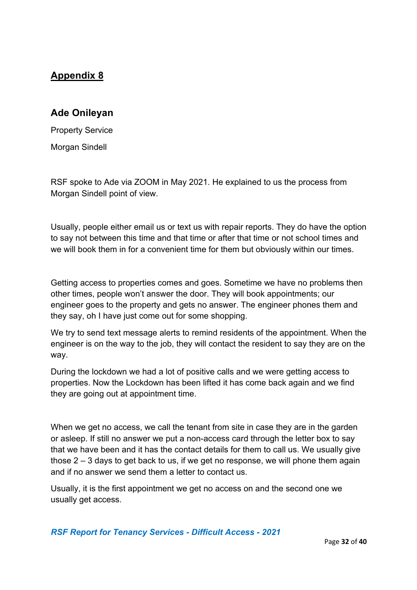#### **Ade Onileyan**

Property Service Morgan Sindell

RSF spoke to Ade via ZOOM in May 2021. He explained to us the process from Morgan Sindell point of view.

Usually, people either email us or text us with repair reports. They do have the option to say not between this time and that time or after that time or not school times and we will book them in for a convenient time for them but obviously within our times.

Getting access to properties comes and goes. Sometime we have no problems then other times, people won't answer the door. They will book appointments; our engineer goes to the property and gets no answer. The engineer phones them and they say, oh I have just come out for some shopping.

We try to send text message alerts to remind residents of the appointment. When the engineer is on the way to the job, they will contact the resident to say they are on the way.

During the lockdown we had a lot of positive calls and we were getting access to properties. Now the Lockdown has been lifted it has come back again and we find they are going out at appointment time.

When we get no access, we call the tenant from site in case they are in the garden or asleep. If still no answer we put a non-access card through the letter box to say that we have been and it has the contact details for them to call us. We usually give those  $2 - 3$  days to get back to us, if we get no response, we will phone them again and if no answer we send them a letter to contact us.

Usually, it is the first appointment we get no access on and the second one we usually get access.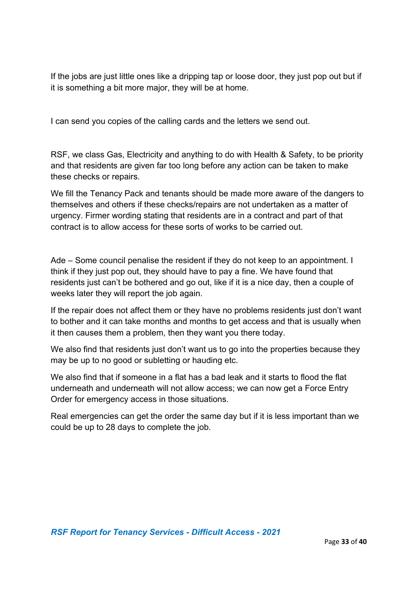If the jobs are just little ones like a dripping tap or loose door, they just pop out but if it is something a bit more major, they will be at home.

I can send you copies of the calling cards and the letters we send out.

RSF, we class Gas, Electricity and anything to do with Health & Safety, to be priority and that residents are given far too long before any action can be taken to make these checks or repairs.

We fill the Tenancy Pack and tenants should be made more aware of the dangers to themselves and others if these checks/repairs are not undertaken as a matter of urgency. Firmer wording stating that residents are in a contract and part of that contract is to allow access for these sorts of works to be carried out.

Ade – Some council penalise the resident if they do not keep to an appointment. I think if they just pop out, they should have to pay a fine. We have found that residents just can't be bothered and go out, like if it is a nice day, then a couple of weeks later they will report the job again.

If the repair does not affect them or they have no problems residents just don't want to bother and it can take months and months to get access and that is usually when it then causes them a problem, then they want you there today.

We also find that residents just don't want us to go into the properties because they may be up to no good or subletting or hauding etc.

We also find that if someone in a flat has a bad leak and it starts to flood the flat underneath and underneath will not allow access; we can now get a Force Entry Order for emergency access in those situations.

Real emergencies can get the order the same day but if it is less important than we could be up to 28 days to complete the job.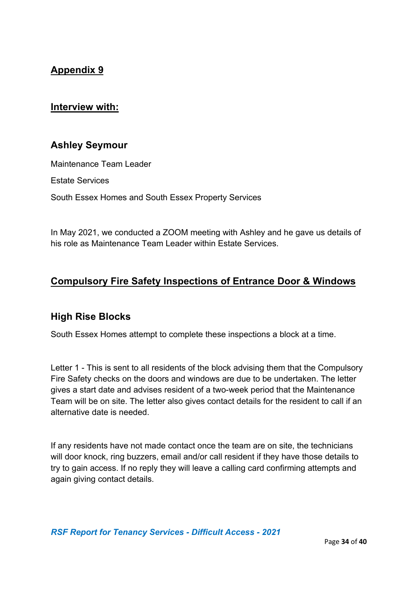#### **Interview with:**

### **Ashley Seymour**

Maintenance Team Leader

Estate Services

South Essex Homes and South Essex Property Services

In May 2021, we conducted a ZOOM meeting with Ashley and he gave us details of his role as Maintenance Team Leader within Estate Services.

## **Compulsory Fire Safety Inspections of Entrance Door & Windows**

#### **High Rise Blocks**

South Essex Homes attempt to complete these inspections a block at a time.

Letter 1 - This is sent to all residents of the block advising them that the Compulsory Fire Safety checks on the doors and windows are due to be undertaken. The letter gives a start date and advises resident of a two-week period that the Maintenance Team will be on site. The letter also gives contact details for the resident to call if an alternative date is needed.

If any residents have not made contact once the team are on site, the technicians will door knock, ring buzzers, email and/or call resident if they have those details to try to gain access. If no reply they will leave a calling card confirming attempts and again giving contact details.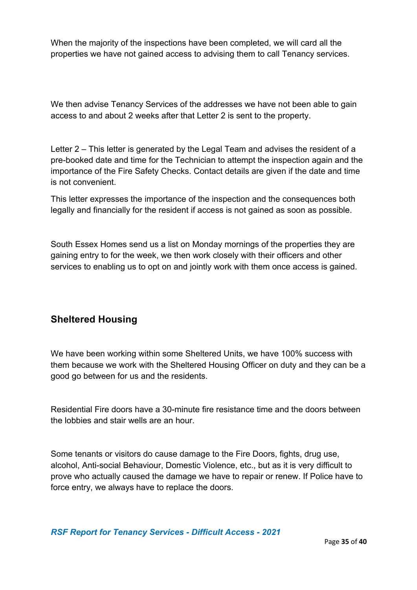When the majority of the inspections have been completed, we will card all the properties we have not gained access to advising them to call Tenancy services.

We then advise Tenancy Services of the addresses we have not been able to gain access to and about 2 weeks after that Letter 2 is sent to the property.

Letter 2 – This letter is generated by the Legal Team and advises the resident of a pre-booked date and time for the Technician to attempt the inspection again and the importance of the Fire Safety Checks. Contact details are given if the date and time is not convenient.

This letter expresses the importance of the inspection and the consequences both legally and financially for the resident if access is not gained as soon as possible.

South Essex Homes send us a list on Monday mornings of the properties they are gaining entry to for the week, we then work closely with their officers and other services to enabling us to opt on and jointly work with them once access is gained.

### **Sheltered Housing**

We have been working within some Sheltered Units, we have 100% success with them because we work with the Sheltered Housing Officer on duty and they can be a good go between for us and the residents.

Residential Fire doors have a 30-minute fire resistance time and the doors between the lobbies and stair wells are an hour.

Some tenants or visitors do cause damage to the Fire Doors, fights, drug use, alcohol, Anti-social Behaviour, Domestic Violence, etc., but as it is very difficult to prove who actually caused the damage we have to repair or renew. If Police have to force entry, we always have to replace the doors.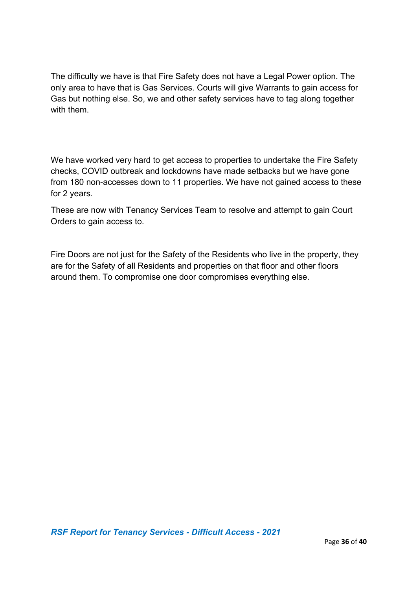The difficulty we have is that Fire Safety does not have a Legal Power option. The only area to have that is Gas Services. Courts will give Warrants to gain access for Gas but nothing else. So, we and other safety services have to tag along together with them.

We have worked very hard to get access to properties to undertake the Fire Safety checks, COVID outbreak and lockdowns have made setbacks but we have gone from 180 non-accesses down to 11 properties. We have not gained access to these for 2 years.

These are now with Tenancy Services Team to resolve and attempt to gain Court Orders to gain access to.

Fire Doors are not just for the Safety of the Residents who live in the property, they are for the Safety of all Residents and properties on that floor and other floors around them. To compromise one door compromises everything else.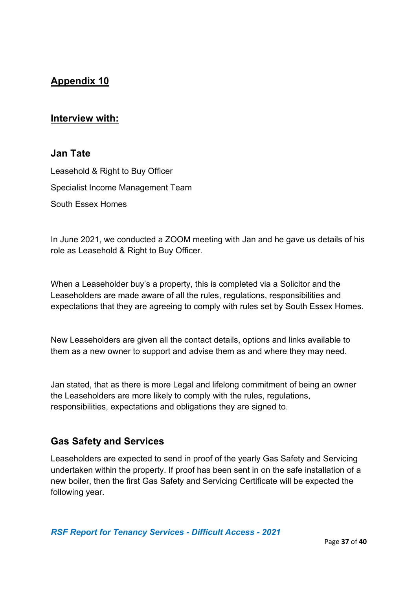#### **Interview with:**

#### **Jan Tate**

Leasehold & Right to Buy Officer Specialist Income Management Team South Essex Homes

In June 2021, we conducted a ZOOM meeting with Jan and he gave us details of his role as Leasehold & Right to Buy Officer.

When a Leaseholder buy's a property, this is completed via a Solicitor and the Leaseholders are made aware of all the rules, regulations, responsibilities and expectations that they are agreeing to comply with rules set by South Essex Homes.

New Leaseholders are given all the contact details, options and links available to them as a new owner to support and advise them as and where they may need.

Jan stated, that as there is more Legal and lifelong commitment of being an owner the Leaseholders are more likely to comply with the rules, regulations, responsibilities, expectations and obligations they are signed to.

#### **Gas Safety and Services**

Leaseholders are expected to send in proof of the yearly Gas Safety and Servicing undertaken within the property. If proof has been sent in on the safe installation of a new boiler, then the first Gas Safety and Servicing Certificate will be expected the following year.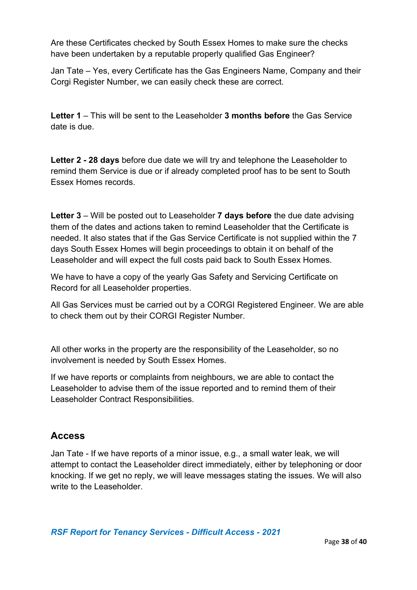Are these Certificates checked by South Essex Homes to make sure the checks have been undertaken by a reputable properly qualified Gas Engineer?

Jan Tate – Yes, every Certificate has the Gas Engineers Name, Company and their Corgi Register Number, we can easily check these are correct.

**Letter 1** – This will be sent to the Leaseholder **3 months before** the Gas Service date is due.

**Letter 2 - 28 days** before due date we will try and telephone the Leaseholder to remind them Service is due or if already completed proof has to be sent to South Essex Homes records.

**Letter 3** – Will be posted out to Leaseholder **7 days before** the due date advising them of the dates and actions taken to remind Leaseholder that the Certificate is needed. It also states that if the Gas Service Certificate is not supplied within the 7 days South Essex Homes will begin proceedings to obtain it on behalf of the Leaseholder and will expect the full costs paid back to South Essex Homes.

We have to have a copy of the yearly Gas Safety and Servicing Certificate on Record for all Leaseholder properties.

All Gas Services must be carried out by a CORGI Registered Engineer. We are able to check them out by their CORGI Register Number.

All other works in the property are the responsibility of the Leaseholder, so no involvement is needed by South Essex Homes.

If we have reports or complaints from neighbours, we are able to contact the Leaseholder to advise them of the issue reported and to remind them of their Leaseholder Contract Responsibilities.

### **Access**

Jan Tate - If we have reports of a minor issue, e.g., a small water leak, we will attempt to contact the Leaseholder direct immediately, either by telephoning or door knocking. If we get no reply, we will leave messages stating the issues. We will also write to the Leaseholder.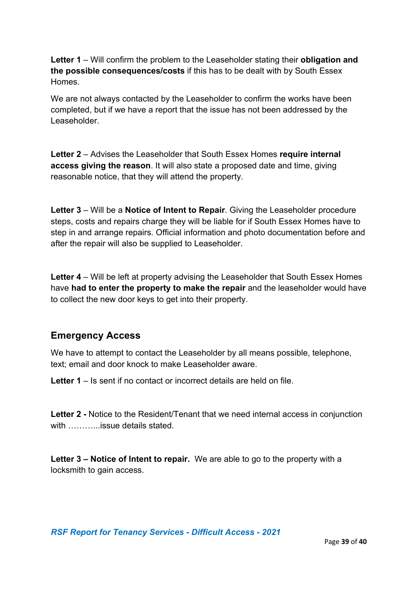**Letter 1** – Will confirm the problem to the Leaseholder stating their **obligation and the possible consequences/costs** if this has to be dealt with by South Essex Homes.

We are not always contacted by the Leaseholder to confirm the works have been completed, but if we have a report that the issue has not been addressed by the Leaseholder.

**Letter 2** – Advises the Leaseholder that South Essex Homes **require internal access giving the reason**. It will also state a proposed date and time, giving reasonable notice, that they will attend the property.

**Letter 3** – Will be a **Notice of Intent to Repair**. Giving the Leaseholder procedure steps, costs and repairs charge they will be liable for if South Essex Homes have to step in and arrange repairs. Official information and photo documentation before and after the repair will also be supplied to Leaseholder.

**Letter 4** – Will be left at property advising the Leaseholder that South Essex Homes have **had to enter the property to make the repair** and the leaseholder would have to collect the new door keys to get into their property.

### **Emergency Access**

We have to attempt to contact the Leaseholder by all means possible, telephone, text; email and door knock to make Leaseholder aware.

**Letter 1** – Is sent if no contact or incorrect details are held on file.

**Letter 2 -** Notice to the Resident/Tenant that we need internal access in conjunction with ………...issue details stated.

**Letter 3 – Notice of Intent to repair.** We are able to go to the property with a locksmith to gain access.